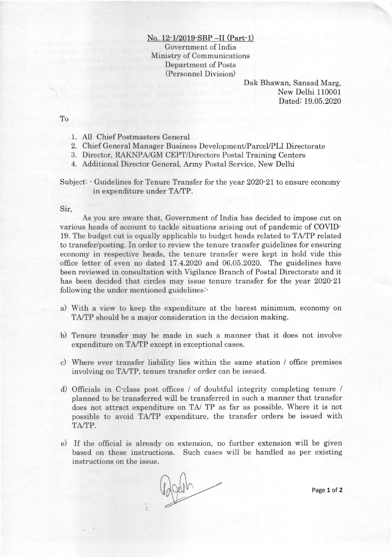## No. 12-1/2019-SBP -II (Part-1)

Government of India Ministry of Communications Department of Posts (Personnel Division)

> Dak Bhawan, Sansad Marg New Delhi 11000i Dated: 19.05.2020

To

- 1. All Chief Postmasters General
- 2. Chief General Manager Business Development/Parcel/PLI Directorate
- 3. Director, RAKNPA/GM CEPT/Directors Postal Training Centers
- 4. Additional Director General, Army Postal Service, New Delhi

Subject:  $\cdot$  Guidelines for Tenure Transfer for the year 2020 $\cdot$ 21 to ensure economy in expenditure under TA/TP.

## Sir.

As you are aware that, Government of India has decided to impose cut on various heads of account to tackle situations arising out of pandemic of COMD-19. The budget cut is equally applicable to budget heads related to TA/TP related to transfer/posting. In order to review the tenure transfer guidelines for ensuring economy in respective heads, the tenure transfer were kept in hold vide this office ietter of even no dated 17.4.2020 and 06.05.2020. The guidelines have been reviewed in consultation with Vigilance Branch of Postal Directorate and it has been decided that circles may issue tenure transfer for the year 2020-21 following the under mentioned guidelines<sup>:-</sup>

- a) With a view to keep the expenditure at the barest minimum, economy on TA/TP should be a major consideration in the decision making.
- b) Tenure transfer may be made in such a manner that it does not involve expenditure on TA/TP except in exceptional cases.
- c) Where ever transfer liability lies within the same station / office premises involving no TA/TP, tenure transfer order can be issued.
- d) Officials in C-class post offices / of doubtful integrity completing tenure / planned to be transferred wili be transferred in such a manner that transfer does not attract expenditure on TA/ TP as far as possible. Where it is not possibie to avoid TA'/TP expenditure, the transfer orders be issued with TA/TP.
- e) If the official is already on extension, no further extension will be given based on these instructions. Such cases will be handled as per existing instructions on the issue.

Page 1 of 2